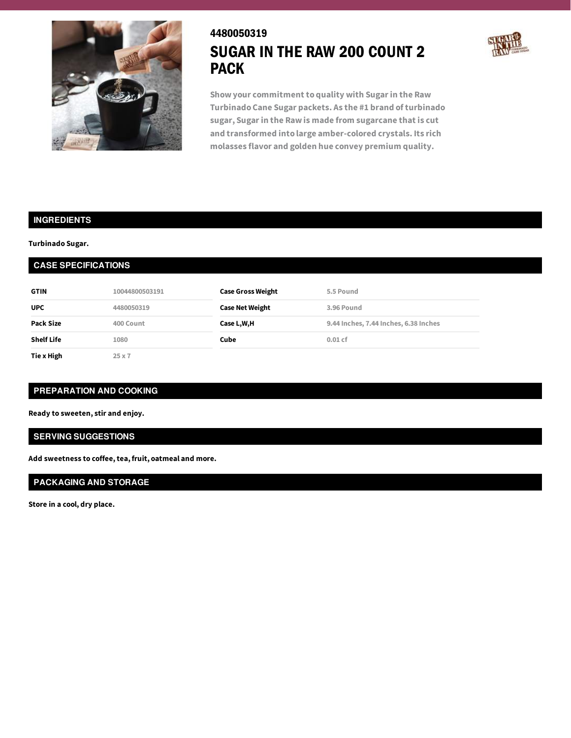

# 4480050319 SUGAR IN THE RAW 200 COUNT 2 PACK



**Show your commitment to quality with Sugarin the Raw Turbinado Cane Sugar packets. As the #1 brand of turbinado sugar, Sugarin the Raw is made from sugarcane that is cut and transformed into large amber-colored crystals. Its rich molasses flavor and golden hue convey premium quality.**

## **INGREDIENTS**

**Turbinado Sugar.**

## **CASE SPECIFICATIONS**

| <b>GTIN</b>       | 10044800503191 | <b>Case Gross Weight</b> | 5.5 Pound                             |
|-------------------|----------------|--------------------------|---------------------------------------|
| <b>UPC</b>        | 4480050319     | <b>Case Net Weight</b>   | 3.96 Pound                            |
| Pack Size         | 400 Count      | Case L,W,H               | 9.44 Inches, 7.44 Inches, 6.38 Inches |
| <b>Shelf Life</b> | 1080           | Cube                     | $0.01$ cf                             |
| Tie x High        | $25 \times 7$  |                          |                                       |

## **PREPARATION AND COOKING**

**Ready to sweeten, stir and enjoy.**

#### **SERVING SUGGESTIONS**

**Add sweetness to coffee,tea, fruit, oatmeal and more.**

## **PACKAGING AND STORAGE**

**Store in a cool, dry place.**